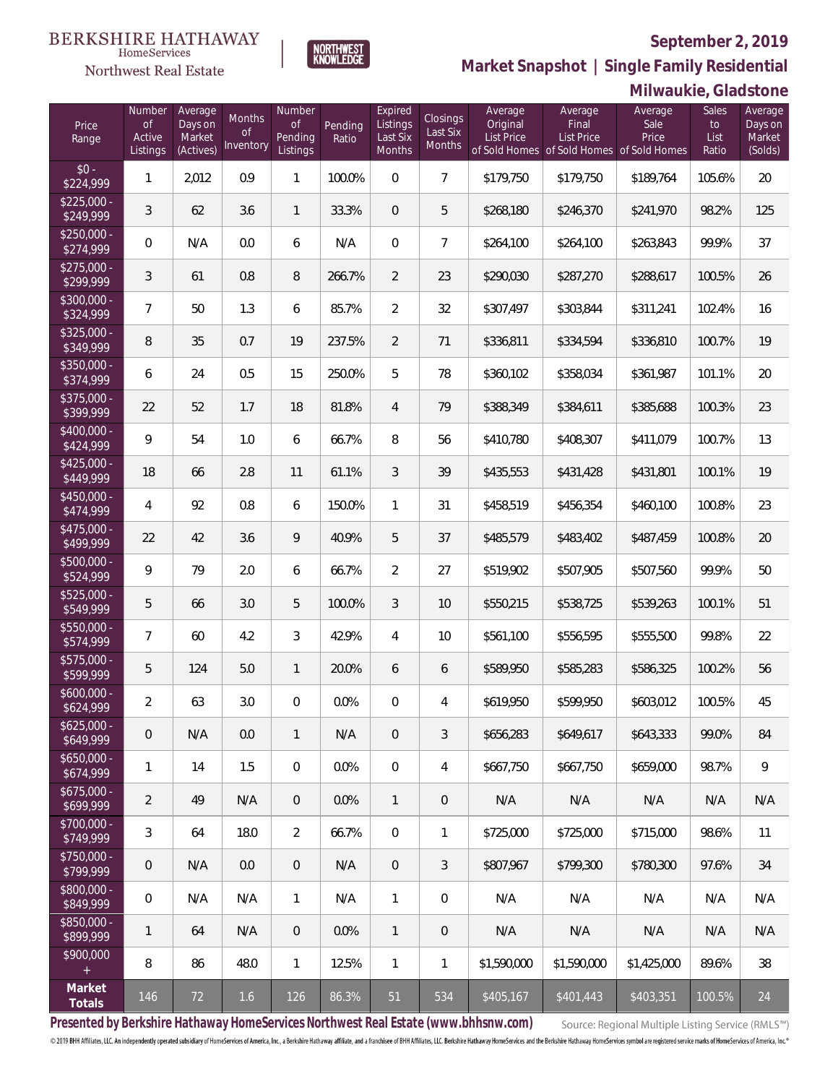

NORTHWEST<br>KNOWLEDGE

**Market Snapshot | Single Family Residential**

#### $\label{lem:sevices} \textsc{Home} \textsc{Service} \textsc{s}$ Northwest Real Estate

|                           | Milwaukie, Gladstone               |                                           |                           |                                     |                  |                                           |                                       |                                   |                                                                             |                          |                              |                                         |
|---------------------------|------------------------------------|-------------------------------------------|---------------------------|-------------------------------------|------------------|-------------------------------------------|---------------------------------------|-----------------------------------|-----------------------------------------------------------------------------|--------------------------|------------------------------|-----------------------------------------|
| Price<br>Range            | Number<br>0f<br>Active<br>Listings | Average<br>Days on<br>Market<br>(Actives) | Months<br>Οf<br>Inventory | Number<br>Οf<br>Pending<br>Listings | Pending<br>Ratio | Expired<br>Listings<br>Last Six<br>Months | <b>Closings</b><br>Last Six<br>Months | Average<br>Original<br>List Price | Average<br>Final<br>List Price<br>of Sold Homes of Sold Homes of Sold Homes | Average<br>Sale<br>Price | Sales<br>to<br>List<br>Ratio | Average<br>Days on<br>Market<br>(Solds) |
| $$0 -$<br>\$224,999       | 1                                  | 2,012                                     | 0.9                       | 1                                   | 100.0%           | $\mathbf 0$                               | $7\overline{ }$                       | \$179,750                         | \$179,750                                                                   | \$189,764                | 105.6%                       | 20                                      |
| $$225,000 -$<br>\$249,999 | $\mathfrak{Z}$                     | 62                                        | 3.6                       | 1                                   | 33.3%            | $\mathbf 0$                               | 5                                     | \$268,180                         | \$246,370                                                                   | \$241,970                | 98.2%                        | 125                                     |
| $$250,000 -$<br>\$274,999 | 0                                  | N/A                                       | 0.0                       | 6                                   | N/A              | $\boldsymbol{0}$                          | $\overline{7}$                        | \$264,100                         | \$264,100                                                                   | \$263,843                | 99.9%                        | 37                                      |
| $$275,000 -$<br>\$299,999 | $\sqrt{3}$                         | 61                                        | 0.8                       | 8                                   | 266.7%           | $\overline{2}$                            | 23                                    | \$290,030                         | \$287,270                                                                   | \$288,617                | 100.5%                       | 26                                      |
| $$300,000 -$<br>\$324,999 | $\overline{7}$                     | 50                                        | 1.3                       | 6                                   | 85.7%            | $\overline{2}$                            | 32                                    | \$307,497                         | \$303,844                                                                   | \$311,241                | 102.4%                       | 16                                      |
| $$325,000 -$<br>\$349,999 | $\, 8$                             | 35                                        | 0.7                       | 19                                  | 237.5%           | $\overline{2}$                            | 71                                    | \$336,811                         | \$334,594                                                                   | \$336,810                | 100.7%                       | 19                                      |
| $$350,000 -$<br>\$374,999 | 6                                  | 24                                        | 0.5                       | 15                                  | 250.0%           | 5                                         | 78                                    | \$360,102                         | \$358,034                                                                   | \$361,987                | 101.1%                       | 20                                      |
| \$375,000 -<br>\$399,999  | 22                                 | 52                                        | 1.7                       | 18                                  | 81.8%            | $\overline{4}$                            | 79                                    | \$388,349                         | \$384,611                                                                   | \$385,688                | 100.3%                       | 23                                      |
| $$400,000 -$<br>\$424,999 | 9                                  | 54                                        | 1.0                       | 6                                   | 66.7%            | 8                                         | 56                                    | \$410,780                         | \$408,307                                                                   | \$411,079                | 100.7%                       | 13                                      |
| $$425,000 -$<br>\$449,999 | 18                                 | 66                                        | 2.8                       | 11                                  | 61.1%            | $\mathfrak{Z}$                            | 39                                    | \$435,553                         | \$431,428                                                                   | \$431,801                | 100.1%                       | 19                                      |
| $$450,000 -$<br>\$474,999 | 4                                  | 92                                        | 0.8                       | 6                                   | 150.0%           | 1                                         | 31                                    | \$458,519                         | \$456,354                                                                   | \$460,100                | 100.8%                       | 23                                      |
| $$475,000 -$<br>\$499,999 | 22                                 | 42                                        | 3.6                       | 9                                   | 40.9%            | 5                                         | 37                                    | \$485,579                         | \$483,402                                                                   | \$487,459                | 100.8%                       | 20                                      |
| $$500,000 -$<br>\$524,999 | 9                                  | 79                                        | 2.0                       | 6                                   | 66.7%            | $\overline{2}$                            | 27                                    | \$519,902                         | \$507,905                                                                   | \$507,560                | 99.9%                        | 50                                      |
| $$525,000 -$<br>\$549,999 | 5                                  | 66                                        | 3.0                       | 5                                   | 100.0%           | $\mathfrak{Z}$                            | 10                                    | \$550,215                         | \$538,725                                                                   | \$539,263                | 100.1%                       | 51                                      |
| $$550,000 -$<br>\$574,999 | 7                                  | 60                                        | 4.2                       | 3                                   | 42.9%            | $\overline{4}$                            | 10                                    | \$561,100                         | \$556,595                                                                   | \$555,500                | 99.8%                        | 22                                      |
| $$575,000 -$<br>\$599,999 | 5                                  | 124                                       | 5.0                       | 1                                   | 20.0%            | 6                                         | 6                                     | \$589,950                         | \$585,283                                                                   | \$586,325                | 100.2%                       | 56                                      |
| $$600,000 -$<br>\$624,999 | 2                                  | 63                                        | 3.0                       | 0                                   | 0.0%             | $\overline{0}$                            | 4                                     | \$619,950                         | \$599.950                                                                   | \$603,012                | 100.5%                       | 45                                      |
| $$625,000 -$<br>\$649,999 | $\mathsf{O}\xspace$                | N/A                                       | 0.0                       | 1                                   | N/A              | $\overline{0}$                            | $\mathfrak{Z}$                        | \$656,283                         | \$649,617                                                                   | \$643,333                | 99.0%                        | 84                                      |
| $$650,000 -$<br>\$674,999 | 1                                  | 14                                        | 1.5                       | $\mathbf{0}$                        | 0.0%             | $\overline{0}$                            | 4                                     | \$667,750                         | \$667,750                                                                   | \$659,000                | 98.7%                        | 9                                       |
| $$675.000 -$<br>\$699,999 | $\overline{2}$                     | 49                                        | N/A                       | $\overline{0}$                      | 0.0%             | $\mathbf{1}$                              | $\sqrt{a}$                            | N/A                               | N/A                                                                         | N/A                      | N/A                          | N/A                                     |
| $$700,000 -$<br>\$749,999 | 3                                  | 64                                        | 18.0                      | $\overline{2}$                      | 66.7%            | $\overline{0}$                            | 1                                     | \$725,000                         | \$725,000                                                                   | \$715,000                | 98.6%                        | 11                                      |
| $$750,000 -$<br>\$799,999 | 0                                  | N/A                                       | 0.0                       | $\overline{0}$                      | N/A              | $\overline{0}$                            | $\mathfrak{Z}$                        | \$807,967                         | \$799,300                                                                   | \$780,300                | 97.6%                        | 34                                      |
| $$800,000 -$<br>\$849,999 | 0                                  | N/A                                       | N/A                       | $\mathbf{1}$                        | N/A              | $\mathbf{1}$                              | $\mathbf 0$                           | N/A                               | N/A                                                                         | N/A                      | N/A                          | N/A                                     |
| \$850,000 -<br>\$899,999  | 1                                  | 64                                        | N/A                       | $\overline{0}$                      | $0.0\%$          | $\mathbf{1}$                              | $\theta$                              | N/A                               | N/A                                                                         | N/A                      | N/A                          | N/A                                     |
| \$900,000                 | 8                                  | 86                                        | 48.0                      | $\mathbf{1}$                        | 12.5%            | $\mathbf{1}$                              | 1                                     | \$1,590,000                       | \$1,590,000                                                                 | \$1,425,000              | 89.6%                        | 38                                      |
| Market<br>Totals          | 146                                | 72                                        | 1.6                       | 126                                 | 86.3%            | 51                                        | 534                                   | \$405,167                         | \$401,443                                                                   | \$403,351                | 100.5%                       | 24                                      |

**Presented by Berkshire Hathaway HomeServices Northwest Real Estate (www.bhhsnw.com)**

Source: Regional Multiple Listing Service (RMLS™)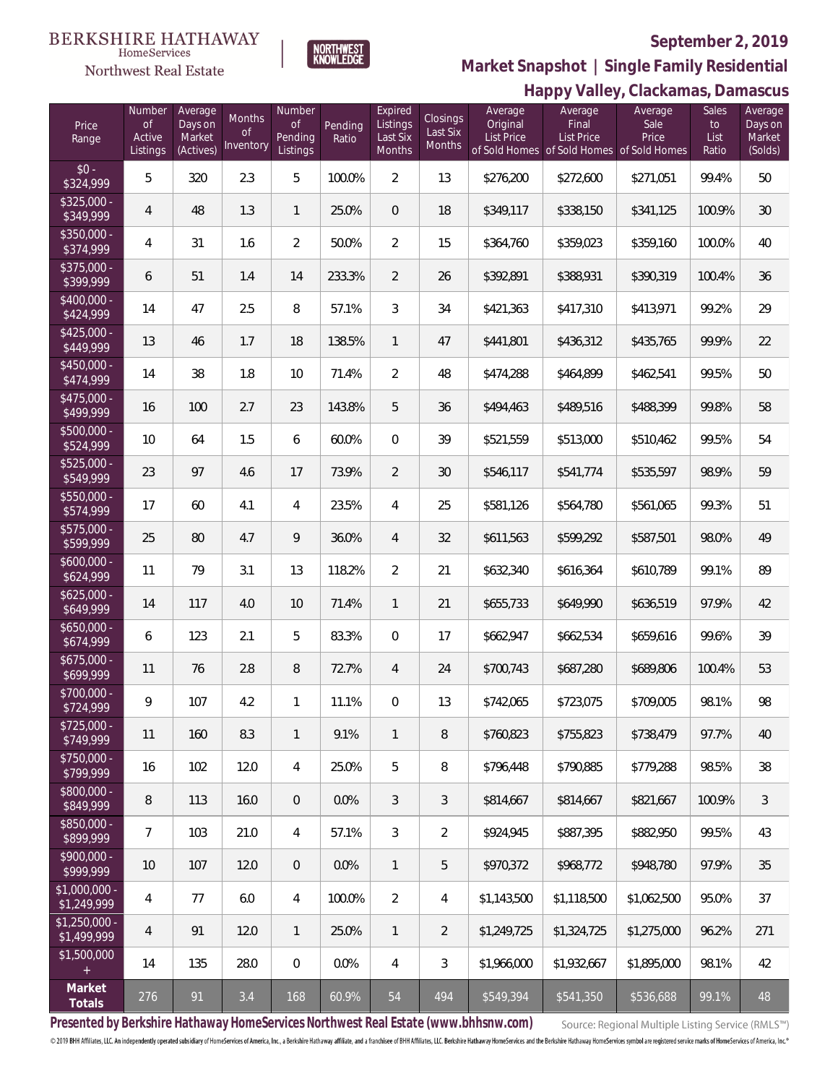#### **BERKSHIRE HATHAWAY**  $\label{lem:sevices} \textsc{Home} \textsc{Service} \textsc{s}$

Northwest Real Estate



### **September 2, 2019**

**Happy Valley, Clackamas, Damascus Market Snapshot | Single Family Residential**

|                                                 |                                               |                                           |                                  |                                            |                  |                                                  |                                |                                          | Happy Valley, Glaukalilas, Dalliascus                                              |                          |                                     |                                         |
|-------------------------------------------------|-----------------------------------------------|-------------------------------------------|----------------------------------|--------------------------------------------|------------------|--------------------------------------------------|--------------------------------|------------------------------------------|------------------------------------------------------------------------------------|--------------------------|-------------------------------------|-----------------------------------------|
| Price<br>Range                                  | Number<br>$\mathsf{of}$<br>Active<br>Listings | Average<br>Days on<br>Market<br>(Actives) | Months<br><b>of</b><br>Inventory | Number<br><b>of</b><br>Pending<br>Listings | Pending<br>Ratio | Expired<br>Listings<br>Last Six<br><b>Months</b> | Closings<br>Last Six<br>Months | Average<br>Original<br><b>List Price</b> | Average<br>Final<br><b>List Price</b><br>of Sold Homes of Sold Homes of Sold Homes | Average<br>Sale<br>Price | <b>Sales</b><br>to<br>List<br>Ratio | Average<br>Days on<br>Market<br>(Solds) |
| $$0 -$<br>\$324,999                             | 5                                             | 320                                       | 2.3                              | 5                                          | 100.0%           | $\overline{2}$                                   | 13                             | \$276,200                                | \$272,600                                                                          | \$271,051                | 99.4%                               | 50                                      |
| $$325.000 -$<br>\$349,999                       | 4                                             | 48                                        | 1.3                              | $\mathbf{1}$                               | 25.0%            | $\overline{0}$                                   | 18                             | \$349,117                                | \$338,150                                                                          | \$341,125                | 100.9%                              | 30                                      |
| $$350.000 -$<br>\$374,999                       | 4                                             | 31                                        | 1.6                              | $\overline{2}$                             | 50.0%            | $\overline{2}$                                   | 15                             | \$364,760                                | \$359,023                                                                          | \$359,160                | 100.0%                              | 40                                      |
| $$375.000 -$<br>\$399,999                       | 6                                             | 51                                        | 1.4                              | 14                                         | 233.3%           | $\overline{2}$                                   | 26                             | \$392,891                                | \$388,931                                                                          | \$390,319                | 100.4%                              | 36                                      |
| $$400.000 -$<br>\$424,999                       | 14                                            | 47                                        | 2.5                              | 8                                          | 57.1%            | 3                                                | 34                             | \$421,363                                | \$417,310                                                                          | \$413,971                | 99.2%                               | 29                                      |
| $$425.000 -$<br>\$449,999                       | 13                                            | 46                                        | 1.7                              | 18                                         | 138.5%           | $\mathbf{1}$                                     | 47                             | \$441,801                                | \$436,312                                                                          | \$435,765                | 99.9%                               | 22                                      |
| $$450.000 -$<br>\$474,999                       | 14                                            | 38                                        | 1.8                              | 10                                         | 71.4%            | $\overline{a}$                                   | 48                             | \$474,288                                | \$464,899                                                                          | \$462,541                | 99.5%                               | 50                                      |
| $$475,000 -$<br>\$499,999                       | 16                                            | 100                                       | 2.7                              | 23                                         | 143.8%           | 5                                                | 36                             | \$494,463                                | \$489,516                                                                          | \$488,399                | 99.8%                               | 58                                      |
| $$500,000 -$<br>\$524,999                       | 10                                            | 64                                        | 1.5                              | 6                                          | 60.0%            | $\overline{0}$                                   | 39                             | \$521,559                                | \$513,000                                                                          | \$510,462                | 99.5%                               | 54                                      |
| $$525.000 -$<br>\$549,999                       | 23                                            | 97                                        | 4.6                              | 17                                         | 73.9%            | $\overline{2}$                                   | 30                             | \$546,117                                | \$541,774                                                                          | \$535,597                | 98.9%                               | 59                                      |
| $$550.000 -$<br>\$574,999                       | 17                                            | 60                                        | 4.1                              | $\overline{4}$                             | 23.5%            | $\overline{4}$                                   | 25                             | \$581,126                                | \$564,780                                                                          | \$561,065                | 99.3%                               | 51                                      |
| $$575,000 -$<br>\$599,999                       | 25                                            | 80                                        | 4.7                              | 9                                          | 36.0%            | $\overline{4}$                                   | 32                             | \$611,563                                | \$599,292                                                                          | \$587,501                | 98.0%                               | 49                                      |
| $$600,000 -$<br>\$624,999                       | 11                                            | 79                                        | 3.1                              | 13                                         | 118.2%           | $\overline{2}$                                   | 21                             | \$632,340                                | \$616,364                                                                          | \$610,789                | 99.1%                               | 89                                      |
| $$625,000 -$<br>\$649,999                       | 14                                            | 117                                       | 4.0                              | 10                                         | 71.4%            | $\mathbf{1}$                                     | 21                             | \$655,733                                | \$649,990                                                                          | \$636,519                | 97.9%                               | 42                                      |
| $$650,000 -$<br>\$674,999                       | 6                                             | 123                                       | 2.1                              | 5                                          | 83.3%            | $\overline{0}$                                   | 17                             | \$662,947                                | \$662,534                                                                          | \$659,616                | 99.6%                               | 39                                      |
| $$675,000 -$<br>\$699,999                       | 11                                            | 76                                        | 2.8                              | 8                                          | 72.7%            | $\overline{4}$                                   | 24                             | \$700,743                                | \$687,280                                                                          | \$689,806                | 100.4%                              | 53                                      |
| $$700,000 -$<br>\$724,999                       | 9                                             | 107                                       | 4.2                              | $\mathbf{1}$                               | 11.1%            | $\Omega$                                         | 13                             | \$742,065                                | \$723,075                                                                          | \$709,005                | 98.1%                               | 98                                      |
| $$725,000 -$<br>\$749,999                       | 11                                            | 160                                       | 8.3                              | $\mathbf{1}$                               | 9.1%             | $\mathbf{1}$                                     | 8                              | \$760,823                                | \$755,823                                                                          | \$738,479                | 97.7%                               | 40                                      |
| $$750,000 -$<br>\$799,999                       | 16                                            | 102                                       | 12.0                             | $\overline{4}$                             | 25.0%            | 5                                                | 8                              | \$796,448                                | \$790,885                                                                          | \$779,288                | 98.5%                               | 38                                      |
| \$800,000 -<br>\$849,999                        | 8                                             | 113                                       | 16.0                             | $\theta$                                   | 0.0%             | 3                                                | 3                              | \$814,667                                | \$814,667                                                                          | \$821,667                | 100.9%                              | $\mathfrak{Z}$                          |
| \$850,000 -<br>\$899,999                        | 7                                             | 103                                       | 21.0                             | $\overline{4}$                             | 57.1%            | 3                                                | $\overline{2}$                 | \$924,945                                | \$887,395                                                                          | \$882,950                | 99.5%                               | 43                                      |
| $$900,000 -$<br>\$999,999                       | 10                                            | 107                                       | 12.0                             | $\theta$                                   | 0.0%             | $\mathbf{1}$                                     | 5                              | \$970,372                                | \$968,772                                                                          | \$948,780                | 97.9%                               | 35                                      |
| \$1,000,000 -<br>\$1,249,999                    | 4                                             | 77                                        | 6.0                              | $\overline{4}$                             | 100.0%           | $\overline{2}$                                   | 4                              | \$1,143,500                              | \$1,118,500                                                                        | \$1,062,500              | 95.0%                               | 37                                      |
| $$1,250,000 -$<br>\$1,499,999                   | 4                                             | 91                                        | 12.0                             | $\mathbf{1}$                               | 25.0%            | $\mathbf{1}$                                     | 2                              | \$1,249,725                              | \$1,324,725                                                                        | \$1,275,000              | 96.2%                               | 271                                     |
| \$1,500,000<br>$\begin{array}{c} + \end{array}$ | 14                                            | 135                                       | 28.0                             | 0                                          | 0.0%             | $\overline{4}$                                   | 3                              | \$1,966,000                              | \$1,932,667                                                                        | \$1,895,000              | 98.1%                               | 42                                      |
| Market<br>Totals                                | 276                                           | 91                                        | 3.4                              | 168                                        | 60.9%            | 54                                               | 494                            | \$549,394                                | \$541,350                                                                          | \$536,688                | 99.1%                               | 48                                      |

**Presented by Berkshire Hathaway HomeServices Northwest Real Estate (www.bhhsnw.com)**

Source: Regional Multiple Listing Service (RMLS™)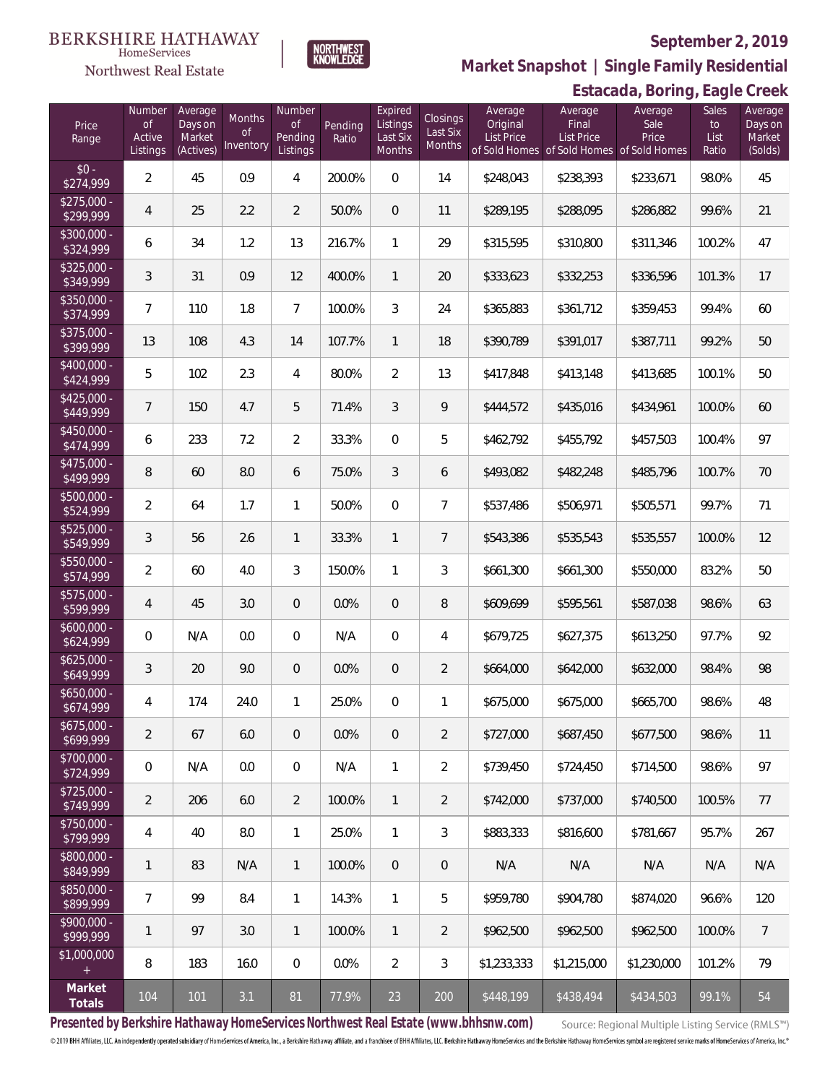#### **BERKSHIRE HATHAWAY** HomeServices

## Northwest Real Estate

### **September 2, 2019**



**Market Snapshot | Single Family Residential**

## **Estacada, Boring, Eagle Creek**

| Price<br>Range            | Number<br>of<br>Active<br>Listings | Average<br>Days on<br>Market<br>(Actives) | Months<br><b>of</b><br>Inventory | Number<br>of<br>Pending<br>Listings | Pending<br>Ratio | Expired<br>Listings<br>Last Six<br>Months | Closings<br>Last Six<br>Months | Average<br>Original<br>List Price | Average<br>Final<br>List Price<br>of Sold Homes of Sold Homes of Sold Homes | Average<br>Sale<br>Price | Sales<br>to<br>List<br>Ratio | Average<br>Days on<br>Market<br>(Solds) |
|---------------------------|------------------------------------|-------------------------------------------|----------------------------------|-------------------------------------|------------------|-------------------------------------------|--------------------------------|-----------------------------------|-----------------------------------------------------------------------------|--------------------------|------------------------------|-----------------------------------------|
| $$0 -$<br>\$274,999       | $\overline{2}$                     | 45                                        | 0.9                              | $\overline{4}$                      | 200.0%           | $\Omega$                                  | 14                             | \$248,043                         | \$238,393                                                                   | \$233,671                | 98.0%                        | 45                                      |
| $$275,000 -$<br>\$299,999 | $\overline{4}$                     | 25                                        | 2.2                              | $\overline{2}$                      | 50.0%            | $\overline{0}$                            | 11                             | \$289,195                         | \$288,095                                                                   | \$286,882                | 99.6%                        | 21                                      |
| $$300,000 -$<br>\$324,999 | 6                                  | 34                                        | 1.2                              | 13                                  | 216.7%           | $\mathbf{1}$                              | 29                             | \$315,595                         | \$310,800                                                                   | \$311,346                | 100.2%                       | 47                                      |
| $$325,000 -$<br>\$349,999 | $\mathfrak{Z}$                     | 31                                        | 0.9                              | 12                                  | 400.0%           | $\mathbf{1}$                              | 20                             | \$333,623                         | \$332,253                                                                   | \$336,596                | 101.3%                       | 17                                      |
| $$350,000 -$<br>\$374,999 | $\overline{7}$                     | 110                                       | 1.8                              | $\overline{7}$                      | 100.0%           | $\mathfrak{Z}$                            | 24                             | \$365,883                         | \$361,712                                                                   | \$359,453                | 99.4%                        | 60                                      |
| \$375,000 -<br>\$399,999  | 13                                 | 108                                       | 4.3                              | 14                                  | 107.7%           | $\mathbf{1}$                              | 18                             | \$390,789                         | \$391,017                                                                   | \$387,711                | 99.2%                        | 50                                      |
| $$400,000 -$<br>\$424,999 | 5                                  | 102                                       | 2.3                              | $\overline{4}$                      | 80.0%            | $\overline{2}$                            | 13                             | \$417,848                         | \$413,148                                                                   | \$413,685                | 100.1%                       | 50                                      |
| $$425,000 -$<br>\$449,999 | $7\overline{ }$                    | 150                                       | 4.7                              | 5                                   | 71.4%            | $\mathfrak{Z}$                            | 9                              | \$444,572                         | \$435,016                                                                   | \$434,961                | 100.0%                       | 60                                      |
| $$450,000 -$<br>\$474,999 | 6                                  | 233                                       | 7.2                              | $\overline{2}$                      | 33.3%            | $\Omega$                                  | 5                              | \$462,792                         | \$455,792                                                                   | \$457,503                | 100.4%                       | 97                                      |
| $$475,000 -$<br>\$499,999 | 8                                  | 60                                        | 8.0                              | 6                                   | 75.0%            | $\mathfrak{Z}$                            | 6                              | \$493,082                         | \$482,248                                                                   | \$485,796                | 100.7%                       | 70                                      |
| \$500,000 -<br>\$524,999  | $\overline{2}$                     | 64                                        | 1.7                              | $\mathbf{1}$                        | 50.0%            | $\Omega$                                  | $\overline{7}$                 | \$537,486                         | \$506,971                                                                   | \$505,571                | 99.7%                        | 71                                      |
| \$525,000 -<br>\$549,999  | 3                                  | 56                                        | 2.6                              | $\mathbf{1}$                        | 33.3%            | $\mathbf{1}$                              | $7\overline{ }$                | \$543,386                         | \$535,543                                                                   | \$535,557                | 100.0%                       | 12                                      |
| $$550,000 -$<br>\$574,999 | $\overline{2}$                     | 60                                        | 4.0                              | 3                                   | 150.0%           | $\mathbf{1}$                              | 3                              | \$661,300                         | \$661,300                                                                   | \$550,000                | 83.2%                        | 50                                      |
| $$575,000 -$<br>\$599,999 | $\overline{4}$                     | 45                                        | 3.0                              | $\overline{0}$                      | 0.0%             | $\overline{0}$                            | 8                              | \$609,699                         | \$595,561                                                                   | \$587,038                | 98.6%                        | 63                                      |
| $$600,000 -$<br>\$624,999 | $\overline{0}$                     | N/A                                       | 0.0                              | $\Omega$                            | N/A              | $\overline{0}$                            | $\overline{4}$                 | \$679,725                         | \$627,375                                                                   | \$613,250                | 97.7%                        | 92                                      |
| $$625,000 -$<br>\$649,999 | 3                                  | 20                                        | 9.0                              | $\overline{0}$                      | 0.0%             | $\overline{0}$                            | $\overline{2}$                 | \$664,000                         | \$642,000                                                                   | \$632,000                | 98.4%                        | 98                                      |
| $$650,000 -$<br>\$674,999 | $\overline{4}$                     | 174                                       | 24.0                             | $\overline{1}$                      | 25.0%            | $\overline{0}$                            | 1                              | \$675,000                         | \$675,000                                                                   | \$665,700                | 98.6%                        | 48                                      |
| $$675,000 -$<br>\$699,999 | $\overline{2}$                     | 67                                        | 6.0                              | $\overline{0}$                      | 0.0%             | 0                                         | $\overline{2}$                 | \$727,000                         | \$687,450                                                                   | \$677,500                | 98.6%                        | 11                                      |
| $$700,000 -$<br>\$724,999 | $\mathbf 0$                        | N/A                                       | 0.0                              | $\overline{0}$                      | N/A              | $\mathbf{1}$                              | 2                              | \$739,450                         | \$724,450                                                                   | \$714,500                | 98.6%                        | 97                                      |
| \$725,000 -<br>\$749,999  | $\overline{2}$                     | 206                                       | 6.0                              | $\overline{2}$                      | 100.0%           | $\mathbf{1}$                              | $\overline{2}$                 | \$742,000                         | \$737,000                                                                   | \$740,500                | 100.5%                       | 77                                      |
| \$750,000 -<br>\$799,999  | 4                                  | 40                                        | 8.0                              | $\mathbf{1}$                        | 25.0%            | $\mathbf{1}$                              | 3                              | \$883,333                         | \$816,600                                                                   | \$781,667                | 95.7%                        | 267                                     |
| \$800,000 -<br>\$849,999  | 1                                  | 83                                        | N/A                              | $\mathbf{1}$                        | 100.0%           | $\overline{0}$                            | $\mathbf 0$                    | N/A                               | N/A                                                                         | N/A                      | N/A                          | N/A                                     |
| \$850,000 -<br>\$899,999  | $\overline{7}$                     | 99                                        | 8.4                              | $\mathbf{1}$                        | 14.3%            | $\mathbf{1}$                              | 5                              | \$959,780                         | \$904,780                                                                   | \$874,020                | 96.6%                        | 120                                     |
| \$900,000 -<br>\$999,999  | 1                                  | 97                                        | 3.0                              | $\overline{1}$                      | 100.0%           | $\mathbf{1}$                              | $\overline{2}$                 | \$962,500                         | \$962,500                                                                   | \$962,500                | 100.0%                       | $\overline{7}$                          |
| \$1,000,000<br>$\pm$      | 8                                  | 183                                       | 16.0                             | $\mathbf 0$                         | 0.0%             | $\overline{2}$                            | $\mathfrak{Z}$                 | \$1,233,333                       | \$1,215,000                                                                 | \$1,230,000              | 101.2%                       | 79                                      |
| Market<br>Totals          | 104                                | 101                                       | 3.1                              | 81                                  | 77.9%            | 23                                        | 200                            | \$448,199                         | \$438,494                                                                   | \$434,503                | 99.1%                        | 54                                      |

**Presented by Berkshire Hathaway HomeServices Northwest Real Estate (www.bhhsnw.com)**

Source: Regional Multiple Listing Service (RMLS™)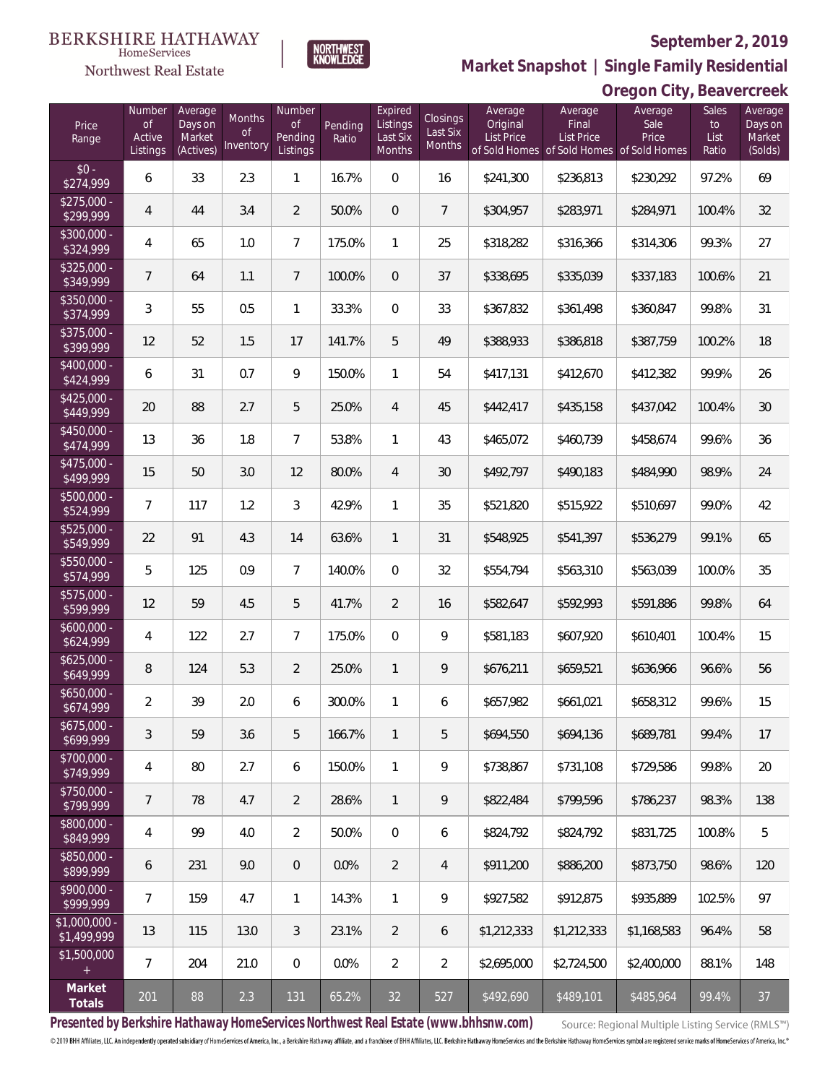#### **BERKSHIRE HATHAWAY**  $\label{lem:sevices} \textsc{Home} \textsc{Service} \textsc{s}$

## Northwest Real Estate



NORTHWEST<br>KNOWLEDGE

# **Market Snapshot | Single Family Residential**

|                               | Oregon City, Beavercreek |                     |                 |                     |         |                     |                    |                     |                                                                |                 |                    |                    |
|-------------------------------|--------------------------|---------------------|-----------------|---------------------|---------|---------------------|--------------------|---------------------|----------------------------------------------------------------|-----------------|--------------------|--------------------|
| Price                         | Number<br><b>of</b>      | Average<br>Days on  | Months          | Number<br>Οf        | Pending | Expired<br>Listings | <b>Closings</b>    | Average<br>Original | Average<br>Final                                               | Average<br>Sale | <b>Sales</b><br>to | Average<br>Days on |
| Range                         | Active<br>Listings       | Market<br>(Actives) | Οf<br>Inventory | Pending<br>Listings | Ratio   | Last Six<br>Months  | Last Six<br>Months | <b>List Price</b>   | <b>List Price</b><br>of Sold Homes of Sold Homes of Sold Homes | Price           | List<br>Ratio      | Market<br>(Solds)  |
| $$0 -$<br>\$274,999           | 6                        | 33                  | 2.3             | $\mathbf{1}$        | 16.7%   | $\mathbf{0}$        | 16                 | \$241,300           | \$236,813                                                      | \$230,292       | 97.2%              | 69                 |
| $$275,000 -$<br>\$299,999     | 4                        | 44                  | 3.4             | $\overline{2}$      | 50.0%   | $\overline{0}$      | $\overline{7}$     | \$304,957           | \$283,971                                                      | \$284,971       | 100.4%             | 32                 |
| $$300,000 -$<br>\$324,999     | 4                        | 65                  | 1.0             | $7\overline{ }$     | 175.0%  | $\mathbf{1}$        | 25                 | \$318,282           | \$316,366                                                      | \$314,306       | 99.3%              | 27                 |
| $$325,000 -$<br>\$349,999     | 7                        | 64                  | 1.1             | $\overline{7}$      | 100.0%  | $\overline{0}$      | 37                 | \$338,695           | \$335,039                                                      | \$337,183       | 100.6%             | 21                 |
| $$350,000 -$<br>\$374,999     | $\mathfrak{Z}$           | 55                  | 0.5             | $\mathbf{1}$        | 33.3%   | $\mathbf{0}$        | 33                 | \$367,832           | \$361,498                                                      | \$360,847       | 99.8%              | 31                 |
| $$375,000 -$<br>\$399,999     | 12                       | 52                  | 1.5             | 17                  | 141.7%  | 5                   | 49                 | \$388,933           | \$386,818                                                      | \$387,759       | 100.2%             | 18                 |
| $$400,000 -$<br>\$424,999     | 6                        | 31                  | 0.7             | 9                   | 150.0%  | $\mathbf{1}$        | 54                 | \$417,131           | \$412,670                                                      | \$412,382       | 99.9%              | 26                 |
| $$425,000 -$<br>\$449,999     | 20                       | 88                  | 2.7             | 5                   | 25.0%   | $\overline{4}$      | 45                 | \$442,417           | \$435,158                                                      | \$437,042       | 100.4%             | 30                 |
| $$450.000 -$<br>\$474,999     | 13                       | 36                  | 1.8             | $7\overline{ }$     | 53.8%   | $\mathbf{1}$        | 43                 | \$465,072           | \$460,739                                                      | \$458,674       | 99.6%              | 36                 |
| $$475,000 -$<br>\$499,999     | 15                       | 50                  | 3.0             | 12                  | 80.0%   | $\overline{4}$      | 30                 | \$492,797           | \$490,183                                                      | \$484,990       | 98.9%              | 24                 |
| $$500,000 -$<br>\$524,999     | 7                        | 117                 | 1.2             | 3                   | 42.9%   | 1                   | 35                 | \$521,820           | \$515,922                                                      | \$510,697       | 99.0%              | 42                 |
| $$525,000 -$<br>\$549,999     | 22                       | 91                  | 4.3             | 14                  | 63.6%   | $\mathbf{1}$        | 31                 | \$548,925           | \$541,397                                                      | \$536,279       | 99.1%              | 65                 |
| \$550,000 -<br>\$574,999      | 5                        | 125                 | 0.9             | $7\overline{ }$     | 140.0%  | $\mathbf{0}$        | 32                 | \$554,794           | \$563,310                                                      | \$563,039       | 100.0%             | 35                 |
| $$575,000 -$<br>\$599,999     | 12                       | 59                  | 4.5             | 5                   | 41.7%   | $\overline{2}$      | 16                 | \$582,647           | \$592,993                                                      | \$591,886       | 99.8%              | 64                 |
| $$600,000 -$<br>\$624,999     | 4                        | 122                 | 2.7             | $7\overline{ }$     | 175.0%  | $\mathbf{0}$        | 9                  | \$581,183           | \$607,920                                                      | \$610,401       | 100.4%             | 15                 |
| $$625,000 -$<br>\$649,999     | 8                        | 124                 | 5.3             | $\overline{2}$      | 25.0%   | 1                   | 9                  | \$676,211           | \$659,521                                                      | \$636,966       | 96.6%              | 56                 |
| $$650.000 -$<br>\$674,999     | 2                        | 39                  | 2.0             | 6                   | 300.0%  | 1                   | 6                  | \$657,982           | \$661,021                                                      | \$658,312       | 99.6%              | 15                 |
| $$675,000 -$<br>\$699,999     | 3                        | 59                  | 3.6             | 5                   | 166.7%  | 1                   | 5                  | \$694,550           | \$694,136                                                      | \$689,781       | 99.4%              | 17                 |
| \$700,000 -<br>\$749,999      | 4                        | 80                  | 2.7             | 6                   | 150.0%  | 1                   | 9                  | \$738,867           | \$731,108                                                      | \$729,586       | 99.8%              | 20                 |
| \$750,000 -<br>\$799,999      | 7                        | 78                  | 4.7             | $\overline{2}$      | 28.6%   | $\mathbf{1}$        | 9                  | \$822,484           | \$799,596                                                      | \$786,237       | 98.3%              | 138                |
| \$800,000 -<br>\$849,999      | 4                        | 99                  | 4.0             | $\overline{2}$      | 50.0%   | $\mathbf{0}$        | 6                  | \$824,792           | \$824,792                                                      | \$831,725       | 100.8%             | 5                  |
| \$850,000 -<br>\$899,999      | 6                        | 231                 | 9.0             | $\overline{0}$      | 0.0%    | $\overline{2}$      | 4                  | \$911,200           | \$886,200                                                      | \$873,750       | 98.6%              | 120                |
| \$900,000 -<br>\$999,999      | 7                        | 159                 | 4.7             | $\mathbf{1}$        | 14.3%   | $\mathbf{1}$        | 9                  | \$927,582           | \$912,875                                                      | \$935,889       | 102.5%             | 97                 |
| $$1,000,000 -$<br>\$1,499,999 | 13                       | 115                 | 13.0            | 3                   | 23.1%   | 2                   | 6                  | \$1,212,333         | \$1,212,333                                                    | \$1,168,583     | 96.4%              | 58                 |
| \$1,500,000                   | 7                        | 204                 | 21.0            | $\overline{0}$      | 0.0%    | $\overline{2}$      | 2                  | \$2,695,000         | \$2,724,500                                                    | \$2,400,000     | 88.1%              | 148                |
| Market<br>Totals              | 201                      | 88                  | 2.3             | 131                 | 65.2%   | 32                  | 527                | \$492,690           | \$489,101                                                      | \$485,964       | 99.4%              | 37                 |

**Presented by Berkshire Hathaway HomeServices Northwest Real Estate (www.bhhsnw.com)**

Source: Regional Multiple Listing Service (RMLS™)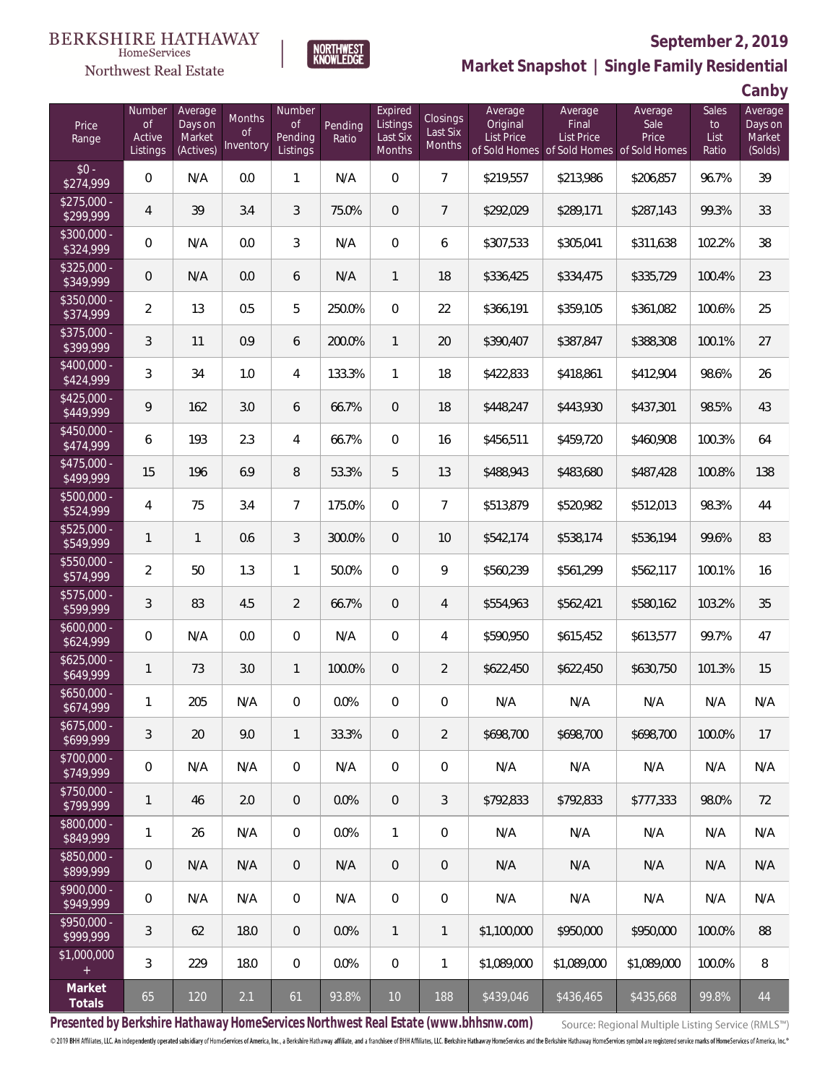#### BERKSHIRE HATHAWAY HomeServices

## Northwest Real Estate



## **September 2, 2019**

**Market Snapshot | Single Family Residential**

**Canby**

| Price<br>Range            | Number<br><b>of</b><br>Active<br>Listings | Average<br>Days on<br>Market<br>(Actives) | Months<br><b>of</b><br>Inventory | Number<br><b>of</b><br>Pending<br>Listings | Pending<br>Ratio | Expired<br>Listings<br>Last Six<br>Months | <b>Closings</b><br>Last Six<br><b>Months</b> | Average<br>Original<br><b>List Price</b> | Average<br>Final<br>List Price<br>of Sold Homes of Sold Homes of Sold Homes | Average<br>Sale<br>Price | <b>Sales</b><br>to<br>List<br>Ratio | J<br>Average<br>Days on<br>Market<br>(Solds) |
|---------------------------|-------------------------------------------|-------------------------------------------|----------------------------------|--------------------------------------------|------------------|-------------------------------------------|----------------------------------------------|------------------------------------------|-----------------------------------------------------------------------------|--------------------------|-------------------------------------|----------------------------------------------|
| $$0 -$<br>\$274,999       | 0                                         | N/A                                       | 0.0                              | $\mathbf{1}$                               | N/A              | $\mathbf 0$                               | $\overline{7}$                               | \$219,557                                | \$213,986                                                                   | \$206,857                | 96.7%                               | 39                                           |
| $$275,000 -$<br>\$299,999 | $\overline{4}$                            | 39                                        | 3.4                              | 3                                          | 75.0%            | $\overline{0}$                            | $\overline{7}$                               | \$292,029                                | \$289,171                                                                   | \$287,143                | 99.3%                               | 33                                           |
| \$300,000 -<br>\$324,999  | 0                                         | N/A                                       | 0.0                              | $\mathfrak{Z}$                             | N/A              | $\mathbf 0$                               | 6                                            | \$307,533                                | \$305,041                                                                   | \$311,638                | 102.2%                              | 38                                           |
| $$325,000 -$<br>\$349,999 | 0                                         | N/A                                       | 0.0                              | 6                                          | N/A              | $\mathbf{1}$                              | 18                                           | \$336,425                                | \$334,475                                                                   | \$335,729                | 100.4%                              | 23                                           |
| \$350,000 -<br>\$374,999  | $\overline{2}$                            | 13                                        | 0.5                              | 5                                          | 250.0%           | $\boldsymbol{0}$                          | 22                                           | \$366,191                                | \$359,105                                                                   | \$361,082                | 100.6%                              | 25                                           |
| \$375,000 -<br>\$399,999  | 3                                         | 11                                        | 0.9                              | 6                                          | 200.0%           | $\mathbf{1}$                              | $20\,$                                       | \$390,407                                | \$387,847                                                                   | \$388,308                | 100.1%                              | 27                                           |
| $$400,000 -$<br>\$424,999 | 3                                         | 34                                        | 1.0                              | 4                                          | 133.3%           | $\mathbf{1}$                              | 18                                           | \$422,833                                | \$418,861                                                                   | \$412,904                | 98.6%                               | 26                                           |
| $$425,000 -$<br>\$449,999 | 9                                         | 162                                       | 3.0                              | 6                                          | 66.7%            | $\mathbf 0$                               | 18                                           | \$448,247                                | \$443,930                                                                   | \$437,301                | 98.5%                               | 43                                           |
| $$450,000 -$<br>\$474,999 | 6                                         | 193                                       | 2.3                              | 4                                          | 66.7%            | $\overline{0}$                            | 16                                           | \$456,511                                | \$459,720                                                                   | \$460,908                | 100.3%                              | 64                                           |
| $$475,000 -$<br>\$499,999 | 15                                        | 196                                       | 6.9                              | 8                                          | 53.3%            | 5                                         | 13                                           | \$488,943                                | \$483,680                                                                   | \$487,428                | 100.8%                              | 138                                          |
| \$500,000 -<br>\$524,999  | 4                                         | 75                                        | 3.4                              | $\overline{7}$                             | 175.0%           | $\overline{0}$                            | $\overline{7}$                               | \$513,879                                | \$520,982                                                                   | \$512,013                | 98.3%                               | 44                                           |
| \$525,000 -<br>\$549,999  | 1                                         | $\mathbf{1}$                              | 0.6                              | 3                                          | 300.0%           | $\mathbf 0$                               | 10                                           | \$542,174                                | \$538,174                                                                   | \$536,194                | 99.6%                               | 83                                           |
| \$550,000 -<br>\$574,999  | $\overline{2}$                            | 50                                        | 1.3                              | $\mathbf{1}$                               | 50.0%            | $\overline{0}$                            | 9                                            | \$560,239                                | \$561,299                                                                   | \$562,117                | 100.1%                              | 16                                           |
| \$575,000 -<br>\$599,999  | 3                                         | 83                                        | 4.5                              | $\overline{2}$                             | 66.7%            | $\mathbf 0$                               | 4                                            | \$554,963                                | \$562,421                                                                   | \$580,162                | 103.2%                              | 35                                           |
| $$600,000 -$<br>\$624,999 | 0                                         | N/A                                       | 0.0                              | $\overline{0}$                             | N/A              | $\overline{0}$                            | 4                                            | \$590,950                                | \$615,452                                                                   | \$613,577                | 99.7%                               | 47                                           |
| $$625,000 -$<br>\$649,999 | 1                                         | 73                                        | 3.0                              | $\mathbf{1}$                               | 100.0%           | $\boldsymbol{0}$                          | $\overline{2}$                               | \$622,450                                | \$622,450                                                                   | \$630,750                | 101.3%                              | 15                                           |
| $$650,000 -$<br>\$674,999 | 1                                         | 205                                       | N/A                              | $\boldsymbol{0}$                           | 0.0%             | $\overline{0}$                            | $\mathbf 0$                                  | N/A                                      | N/A                                                                         | N/A                      | N/A                                 | N/A                                          |
| $$675,000 -$<br>\$699,999 | 3                                         | 20                                        | 9.0                              | $\mathbf{1}$                               | 33.3%            | $\overline{0}$                            | $\overline{2}$                               | \$698,700                                | \$698,700                                                                   | \$698,700                | 100.0%                              | 17                                           |
| $$700,000 -$<br>\$749,999 | 0                                         | N/A                                       | N/A                              | $\mathbf 0$                                | N/A              | $\overline{0}$                            | $\mathbf 0$                                  | N/A                                      | N/A                                                                         | N/A                      | N/A                                 | N/A                                          |
| $$750,000 -$<br>\$799,999 | 1                                         | 46                                        | 2.0                              | $\mathbf 0$                                | 0.0%             | $\mathbf 0$                               | $\mathfrak{Z}$                               | \$792,833                                | \$792,833                                                                   | \$777.333                | 98.0%                               | 72                                           |
| \$800,000 -<br>\$849,999  | 1                                         | 26                                        | N/A                              | $\mathbf 0$                                | 0.0%             | $\mathbf{1}$                              | $\mathbf 0$                                  | N/A                                      | N/A                                                                         | N/A                      | N/A                                 | N/A                                          |
| \$850,000 -<br>\$899,999  | 0                                         | N/A                                       | N/A                              | $\mathbf 0$                                | N/A              | $\mathbf 0$                               | $\overline{0}$                               | N/A                                      | N/A                                                                         | N/A                      | N/A                                 | N/A                                          |
| \$900,000 -<br>\$949,999  | 0                                         | N/A                                       | N/A                              | $\mathbf 0$                                | N/A              | $\boldsymbol{0}$                          | $\boldsymbol{0}$                             | N/A                                      | N/A                                                                         | N/A                      | N/A                                 | N/A                                          |
| \$950,000 -<br>\$999,999  | 3                                         | 62                                        | 18.0                             | $\overline{0}$                             | 0.0%             | $\overline{1}$                            | $\mathbf{1}$                                 | \$1,100,000                              | \$950,000                                                                   | \$950,000                | 100.0%                              | 88                                           |
| \$1,000,000<br>$+$        | 3                                         | 229                                       | 18.0                             | $\mathbf 0$                                | 0.0%             | $\boldsymbol{0}$                          | $\mathbf{1}$                                 | \$1,089,000                              | \$1,089,000                                                                 | \$1,089,000              | 100.0%                              | 8                                            |
| Market<br>Totals          | 65                                        | 120                                       | 2.1                              | 61                                         | 93.8%            | 10                                        | 188                                          | \$439,046                                | \$436,465                                                                   | \$435,668                | 99.8%                               | $44$                                         |

**Presented by Berkshire Hathaway HomeServices Northwest Real Estate (www.bhhsnw.com)**

Source: Regional Multiple Listing Service (RMLS™)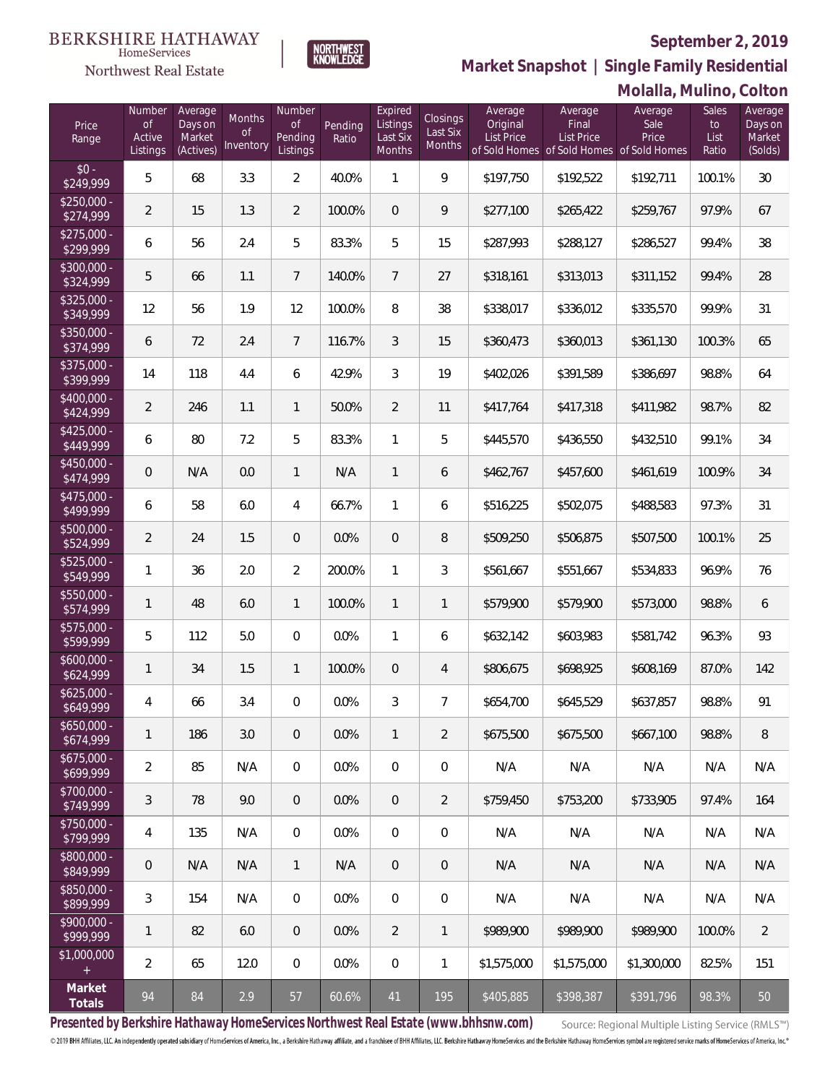

**Market Snapshot | Single Family Residential**

#### **BERKSHIRE HATHAWAY**  $\label{lem:sevices} \textsc{Home} \textsc{Service} \textsc{s}$ Northwest Real Estate

|                                  |                                    |                                           |                           |                                     |                  |                                           |                                |                                          |                                                                                    | Molalla, Mulino, Colton  |                                     |                                         |
|----------------------------------|------------------------------------|-------------------------------------------|---------------------------|-------------------------------------|------------------|-------------------------------------------|--------------------------------|------------------------------------------|------------------------------------------------------------------------------------|--------------------------|-------------------------------------|-----------------------------------------|
| Price<br>Range                   | Number<br>of<br>Active<br>Listings | Average<br>Days on<br>Market<br>(Actives) | Months<br>0f<br>Inventory | Number<br>Οf<br>Pending<br>Listings | Pending<br>Ratio | Expired<br>Listings<br>Last Six<br>Months | Closings<br>Last Six<br>Months | Average<br>Original<br><b>List Price</b> | Average<br>Final<br><b>List Price</b><br>of Sold Homes of Sold Homes of Sold Homes | Average<br>Sale<br>Price | <b>Sales</b><br>to<br>List<br>Ratio | Average<br>Days on<br>Market<br>(Solds) |
| $$0 -$<br>\$249,999              | 5                                  | 68                                        | 3.3                       | $\overline{2}$                      | 40.0%            | $\mathbf{1}$                              | 9                              | \$197,750                                | \$192,522                                                                          | \$192,711                | 100.1%                              | 30                                      |
| $$250,000 -$<br>\$274,999        | $\overline{2}$                     | 15                                        | 1.3                       | $\overline{2}$                      | 100.0%           | $\overline{0}$                            | 9                              | \$277,100                                | \$265,422                                                                          | \$259,767                | 97.9%                               | 67                                      |
| $$275,000 -$<br>\$299,999        | 6                                  | 56                                        | 2.4                       | 5                                   | 83.3%            | 5                                         | 15                             | \$287,993                                | \$288,127                                                                          | \$286,527                | 99.4%                               | 38                                      |
| $$300,000 -$<br>\$324,999        | 5                                  | 66                                        | 1.1                       | $\overline{7}$                      | 140.0%           | $\overline{7}$                            | 27                             | \$318,161                                | \$313,013                                                                          | \$311,152                | 99.4%                               | 28                                      |
| $$325,000 -$<br>\$349,999        | 12                                 | 56                                        | 1.9                       | 12                                  | 100.0%           | 8                                         | 38                             | \$338,017                                | \$336,012                                                                          | \$335,570                | 99.9%                               | 31                                      |
| $$350,000 -$<br>\$374,999        | 6                                  | 72                                        | 2.4                       | $\overline{7}$                      | 116.7%           | 3                                         | 15                             | \$360,473                                | \$360,013                                                                          | \$361,130                | 100.3%                              | 65                                      |
| $$375,000 -$<br>\$399,999        | 14                                 | 118                                       | 4.4                       | 6                                   | 42.9%            | 3                                         | 19                             | \$402,026                                | \$391,589                                                                          | \$386,697                | 98.8%                               | 64                                      |
| $$400.000 -$<br>\$424,999        | $\overline{2}$                     | 246                                       | 1.1                       | $\mathbf{1}$                        | 50.0%            | $\overline{2}$                            | 11                             | \$417,764                                | \$417,318                                                                          | \$411,982                | 98.7%                               | 82                                      |
| $\sqrt{$425,000}$ -<br>\$449,999 | 6                                  | 80                                        | 7.2                       | 5                                   | 83.3%            | 1                                         | 5                              | \$445,570                                | \$436,550                                                                          | \$432,510                | 99.1%                               | 34                                      |
| $$450.000 -$<br>\$474,999        | $\overline{0}$                     | N/A                                       | 0.0                       | $\mathbf{1}$                        | N/A              | $\mathbf{1}$                              | 6                              | \$462,767                                | \$457,600                                                                          | \$461,619                | 100.9%                              | 34                                      |
| $$475,000 -$<br>\$499,999        | 6                                  | 58                                        | 6.0                       | $\overline{4}$                      | 66.7%            | 1                                         | 6                              | \$516,225                                | \$502,075                                                                          | \$488,583                | 97.3%                               | 31                                      |
| $$500,000 -$<br>\$524,999        | $\overline{2}$                     | 24                                        | 1.5                       | $\overline{0}$                      | 0.0%             | $\overline{0}$                            | 8                              | \$509,250                                | \$506,875                                                                          | \$507,500                | 100.1%                              | 25                                      |
| $$525,000 -$<br>\$549,999        | 1                                  | 36                                        | 2.0                       | $\overline{2}$                      | 200.0%           | 1                                         | 3                              | \$561,667                                | \$551,667                                                                          | \$534,833                | 96.9%                               | 76                                      |
| \$550,000 -<br>\$574,999         | 1                                  | 48                                        | 6.0                       | $\mathbf{1}$                        | 100.0%           | $\mathbf{1}$                              | 1                              | \$579,900                                | \$579,900                                                                          | \$573,000                | 98.8%                               | 6                                       |
| $$575,000 -$<br>\$599,999        | 5                                  | 112                                       | 5.0                       | $\overline{0}$                      | 0.0%             | 1                                         | 6                              | \$632,142                                | \$603,983                                                                          | \$581,742                | 96.3%                               | 93                                      |
| $$600,000 -$<br>\$624,999        | 1                                  | 34                                        | 1.5                       | 1                                   | 100.0%           | $\mathbf 0$                               | 4                              | \$806,675                                | \$698,925                                                                          | \$608,169                | 87.0%                               | 142                                     |
| $$625.000 -$<br>\$649,999        | 4                                  | 66                                        | 3.4                       | $\mathbf{0}$                        | 0.0%             | 3                                         | 7                              | \$654,700                                | \$645,529                                                                          | \$637,857                | 98.8%                               | 91                                      |
| $$650,000 -$<br>\$674,999        | 1                                  | 186                                       | 3.0                       | $\overline{0}$                      | 0.0%             | $\mathbf{1}$                              | 2                              | \$675,500                                | \$675,500                                                                          | \$667,100                | 98.8%                               | 8                                       |
| $$675,000 -$<br>\$699,999        | $\overline{2}$                     | 85                                        | N/A                       | $\overline{0}$                      | 0.0%             | $\overline{0}$                            | $\overline{0}$                 | N/A                                      | N/A                                                                                | N/A                      | N/A                                 | N/A                                     |
| $$700,000 -$<br>\$749,999        | 3                                  | 78                                        | 9.0                       | $\overline{0}$                      | 0.0%             | $\overline{0}$                            | 2                              | \$759.450                                | \$753,200                                                                          | \$733,905                | 97.4%                               | 164                                     |
| $$750,000 -$<br>\$799,999        | 4                                  | 135                                       | N/A                       | $\overline{0}$                      | 0.0%             | $\overline{0}$                            | $\mathbf 0$                    | N/A                                      | N/A                                                                                | N/A                      | N/A                                 | N/A                                     |
| \$800,000 -<br>\$849,999         | $\overline{0}$                     | N/A                                       | N/A                       | $\mathbf{1}$                        | N/A              | $\overline{0}$                            | $\overline{0}$                 | N/A                                      | N/A                                                                                | N/A                      | N/A                                 | N/A                                     |
| \$850,000 -<br>\$899,999         | 3                                  | 154                                       | N/A                       | $\overline{0}$                      | 0.0%             | $\overline{0}$                            | $\mathbf 0$                    | N/A                                      | N/A                                                                                | N/A                      | N/A                                 | N/A                                     |
| $$900,000 -$<br>\$999,999        | 1                                  | 82                                        | 6.0                       | $\overline{0}$                      | 0.0%             | 2                                         | 1                              | \$989,900                                | \$989,900                                                                          | \$989,900                | 100.0%                              | $\overline{2}$                          |
| \$1,000,000                      | $\overline{2}$                     | 65                                        | 12.0                      | $\mathbf 0$                         | 0.0%             | $\boldsymbol{0}$                          | 1                              | \$1,575,000                              | \$1,575,000                                                                        | \$1,300,000              | 82.5%                               | 151                                     |
| Market<br>Totals                 | 94                                 | 84                                        | 2.9                       | 57                                  | 60.6%            | 41                                        | 195                            | \$405,885                                | \$398,387                                                                          | \$391,796                | 98.3%                               | 50                                      |

**Presented by Berkshire Hathaway HomeServices Northwest Real Estate (www.bhhsnw.com)**

Source: Regional Multiple Listing Service (RMLS™)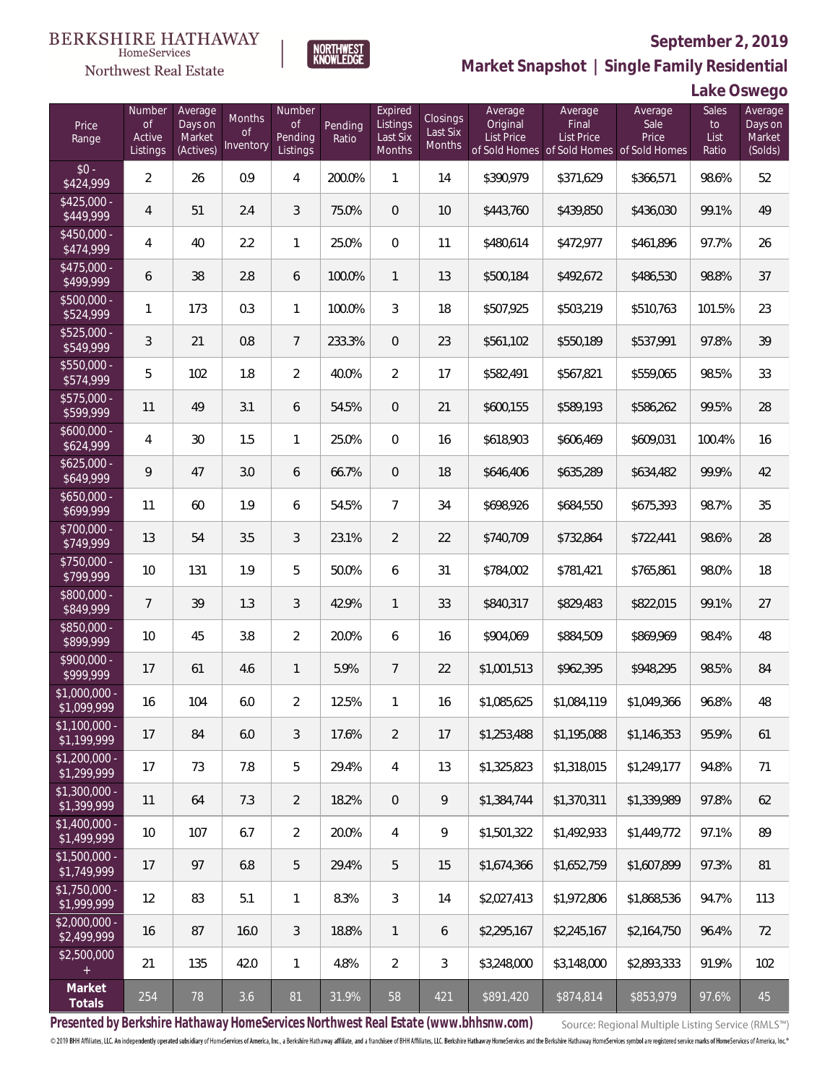

NORTHWEST<br>KNOWLEDGE

Northwest Real Estate

**Market Snapshot | Single Family Residential**

## **Lake Oswego**

| Price<br>Range                | Number<br><b>of</b><br>Active<br>Listings | Average<br>Days on<br>Market<br>(Actives) | Months<br>0f<br>Inventory | Number<br>Οf<br>Pending<br>Listings | Pending<br>Ratio | Expired<br>Listings<br>Last Six<br>Months | <b>Closings</b><br>Last Six<br>Months | Average<br>Original<br>List Price | Average<br>Final<br><b>List Price</b><br>of Sold Homes of Sold Homes of Sold Homes | Average<br>Sale<br>Price | Sales<br>to<br>List<br>Ratio | Average<br>Days on<br>Market<br>(Solds) |
|-------------------------------|-------------------------------------------|-------------------------------------------|---------------------------|-------------------------------------|------------------|-------------------------------------------|---------------------------------------|-----------------------------------|------------------------------------------------------------------------------------|--------------------------|------------------------------|-----------------------------------------|
| $$0 -$<br>\$424,999           | $\overline{2}$                            | 26                                        | 0.9                       | 4                                   | 200.0%           | $\mathbf{1}$                              | 14                                    | \$390,979                         | \$371,629                                                                          | \$366,571                | 98.6%                        | 52                                      |
| $$425,000 -$<br>\$449,999     | $\overline{4}$                            | 51                                        | 2.4                       | 3                                   | 75.0%            | $\overline{0}$                            | 10                                    | \$443,760                         | \$439,850                                                                          | \$436,030                | 99.1%                        | 49                                      |
| $$450,000 -$<br>\$474,999     | $\overline{4}$                            | 40                                        | 2.2                       | $\mathbf{1}$                        | 25.0%            | $\overline{0}$                            | 11                                    | \$480,614                         | \$472,977                                                                          | \$461,896                | 97.7%                        | 26                                      |
| $$475,000 -$<br>\$499,999     | 6                                         | 38                                        | 2.8                       | 6                                   | 100.0%           | $\mathbf{1}$                              | 13                                    | \$500,184                         | \$492,672                                                                          | \$486,530                | 98.8%                        | 37                                      |
| $$500,000 -$<br>\$524,999     | 1                                         | 173                                       | 0.3                       | $\mathbf{1}$                        | 100.0%           | 3                                         | 18                                    | \$507,925                         | \$503,219                                                                          | \$510,763                | 101.5%                       | 23                                      |
| $$525,000 -$<br>\$549,999     | 3                                         | 21                                        | 0.8                       | $7\overline{ }$                     | 233.3%           | $\overline{0}$                            | 23                                    | \$561,102                         | \$550,189                                                                          | \$537,991                | 97.8%                        | 39                                      |
| $$550,000 -$<br>\$574,999     | 5                                         | 102                                       | 1.8                       | $\overline{2}$                      | 40.0%            | $\overline{2}$                            | 17                                    | \$582,491                         | \$567,821                                                                          | \$559,065                | 98.5%                        | 33                                      |
| \$575,000 -<br>\$599,999      | 11                                        | 49                                        | 3.1                       | 6                                   | 54.5%            | $\overline{0}$                            | 21                                    | \$600,155                         | \$589,193                                                                          | \$586,262                | 99.5%                        | 28                                      |
| $$600,000 -$<br>\$624,999     | 4                                         | 30                                        | 1.5                       | $\mathbf{1}$                        | 25.0%            | $\overline{0}$                            | 16                                    | \$618,903                         | \$606,469                                                                          | \$609,031                | 100.4%                       | 16                                      |
| $$625,000 -$<br>\$649,999     | 9                                         | 47                                        | 3.0                       | 6                                   | 66.7%            | $\overline{0}$                            | 18                                    | \$646,406                         | \$635,289                                                                          | \$634,482                | 99.9%                        | 42                                      |
| $$650,000 -$<br>\$699,999     | 11                                        | 60                                        | 1.9                       | 6                                   | 54.5%            | $\overline{7}$                            | 34                                    | \$698,926                         | \$684,550                                                                          | \$675,393                | 98.7%                        | 35                                      |
| $$700,000 -$<br>\$749,999     | 13                                        | 54                                        | 3.5                       | 3                                   | 23.1%            | $\overline{2}$                            | 22                                    | \$740,709                         | \$732,864                                                                          | \$722,441                | 98.6%                        | 28                                      |
| $$750,000 -$<br>\$799,999     | 10                                        | 131                                       | 1.9                       | 5                                   | 50.0%            | 6                                         | 31                                    | \$784,002                         | \$781,421                                                                          | \$765,861                | 98.0%                        | 18                                      |
| \$800,000 -<br>\$849,999      | $7^{\circ}$                               | 39                                        | 1.3                       | 3                                   | 42.9%            | $\mathbf{1}$                              | 33                                    | \$840,317                         | \$829,483                                                                          | \$822,015                | 99.1%                        | 27                                      |
| \$850,000 -<br>\$899,999      | 10                                        | 45                                        | 3.8                       | $\overline{2}$                      | 20.0%            | 6                                         | 16                                    | \$904,069                         | \$884,509                                                                          | \$869,969                | 98.4%                        | 48                                      |
| \$900,000 -<br>\$999,999      | 17                                        | 61                                        | 4.6                       | $\mathbf{1}$                        | 5.9%             | $7\overline{ }$                           | 22                                    | \$1,001,513                       | \$962,395                                                                          | \$948,295                | 98.5%                        | 84                                      |
| \$1,000,000 -<br>\$1,099,999  | 16                                        | 104                                       | 6.0                       | $\overline{2}$                      | 12.5%            | $\mathbf{1}$                              | 16                                    | \$1,085,625                       | \$1,084,119                                                                        | \$1,049,366              | 96.8%                        | 48                                      |
| $$1,100,000 -$<br>\$1,199,999 | 17                                        | 84                                        | 6.0                       | 3                                   | 17.6%            | $\overline{2}$                            | 17                                    | \$1,253,488                       | \$1,195,088                                                                        | \$1,146,353              | 95.9%                        | 61                                      |
| $$1,200,000 -$<br>\$1,299,999 | 17                                        | 73                                        | 7.8                       | 5                                   | 29.4%            | $\overline{4}$                            | 13                                    | \$1,325,823                       | \$1,318,015                                                                        | \$1,249,177              | 94.8%                        | 71                                      |
| $$1,300,000 -$<br>\$1,399,999 | 11                                        | 64                                        | 7.3                       | $\overline{2}$                      | 18.2%            | $\sqrt{0}$                                | $\mathsf{Q}$                          | \$1,384,744                       | \$1,370,311                                                                        | \$1,339,989              | 97.8%                        | 62                                      |
| $$1,400,000 -$<br>\$1,499,999 | 10                                        | 107                                       | 6.7                       | $\overline{2}$                      | 20.0%            | $\overline{4}$                            | 9                                     | \$1,501,322                       | \$1,492,933                                                                        | \$1,449,772              | 97.1%                        | 89                                      |
| $$1,500,000 -$<br>\$1,749,999 | 17                                        | 97                                        | 6.8                       | 5                                   | 29.4%            | 5                                         | 15                                    | \$1,674,366                       | \$1,652,759                                                                        | \$1,607,899              | 97.3%                        | 81                                      |
| $$1,750,000 -$<br>\$1,999,999 | 12                                        | 83                                        | 5.1                       | $\mathbf{1}$                        | 8.3%             | $\mathfrak{Z}$                            | 14                                    | \$2,027,413                       | \$1,972,806                                                                        | \$1,868,536              | 94.7%                        | 113                                     |
| $$2,000,000 -$<br>\$2,499,999 | 16                                        | 87                                        | 16.0                      | 3                                   | 18.8%            | $\mathbf{1}$                              | 6                                     | \$2,295,167                       | \$2,245,167                                                                        | \$2,164,750              | 96.4%                        | 72                                      |
| \$2,500,000<br>$+$            | 21                                        | 135                                       | 42.0                      | $\mathbf{1}$                        | 4.8%             | $\overline{2}$                            | $\mathfrak{Z}$                        | \$3,248,000                       | \$3,148,000                                                                        | \$2,893,333              | 91.9%                        | 102                                     |
| Market<br>Totals              | 254                                       | 78                                        | 3.6                       | 81                                  | 31.9%            | 58                                        | 421                                   | \$891,420                         | \$874,814                                                                          | \$853,979                | 97.6%                        | 45                                      |

**Presented by Berkshire Hathaway HomeServices Northwest Real Estate (www.bhhsnw.com)**

Source: Regional Multiple Listing Service (RMLS™)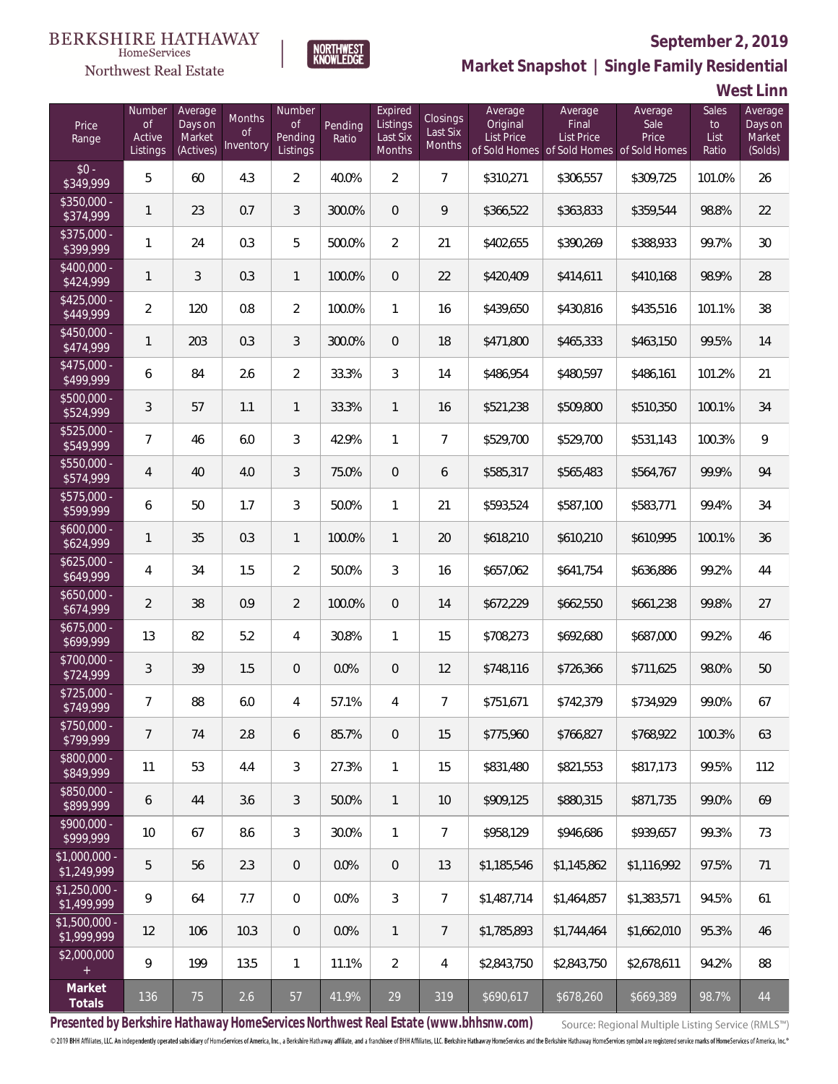

 $\label{lem:sevices} \textsc{Home} \textsc{Service} \textsc{s}$ 

**Market Snapshot | Single Family Residential**

#### **West Linn**

| Price<br>Range                | Number<br>$\mathsf{of}$<br>Active<br>Listings | Average<br>Days on<br>Market<br>(Actives) | Months<br>0f<br>Inventory | Number<br>Οf<br>Pending<br>Listings | Pending<br>Ratio | Expired<br>Listings<br>Last Six<br>Months | Closings<br>Last Six<br>Months | Average<br>Original<br>List Price | Average<br>Final<br>List Price<br>of Sold Homes of Sold Homes of Sold Homes | Average<br>Sale<br>Price | Sales<br>to<br>List<br>Ratio | Average<br>Days on<br>Market<br>(Solds) |
|-------------------------------|-----------------------------------------------|-------------------------------------------|---------------------------|-------------------------------------|------------------|-------------------------------------------|--------------------------------|-----------------------------------|-----------------------------------------------------------------------------|--------------------------|------------------------------|-----------------------------------------|
| $$0 -$<br>\$349,999           | 5                                             | 60                                        | 4.3                       | $\overline{2}$                      | 40.0%            | $\overline{2}$                            | $\overline{7}$                 | \$310,271                         | \$306,557                                                                   | \$309,725                | 101.0%                       | 26                                      |
| \$350,000 -<br>\$374,999      | 1                                             | 23                                        | 0.7                       | 3                                   | 300.0%           | $\overline{0}$                            | 9                              | \$366,522                         | \$363,833                                                                   | \$359,544                | 98.8%                        | 22                                      |
| $$375,000 -$<br>\$399,999     | 1                                             | 24                                        | 0.3                       | 5                                   | 500.0%           | $\overline{2}$                            | 21                             | \$402,655                         | \$390,269                                                                   | \$388,933                | 99.7%                        | 30                                      |
| \$400,000 -<br>\$424,999      | 1                                             | 3                                         | 0.3                       | $\mathbf{1}$                        | 100.0%           | $\theta$                                  | 22                             | \$420,409                         | \$414,611                                                                   | \$410,168                | 98.9%                        | 28                                      |
| $$425,000 -$<br>\$449,999     | $\overline{2}$                                | 120                                       | 0.8                       | $\overline{2}$                      | 100.0%           | $\mathbf{1}$                              | 16                             | \$439,650                         | \$430,816                                                                   | \$435,516                | 101.1%                       | 38                                      |
| $$450,000 -$<br>\$474,999     | 1                                             | 203                                       | 0.3                       | 3                                   | 300.0%           | $\overline{0}$                            | 18                             | \$471,800                         | \$465,333                                                                   | \$463,150                | 99.5%                        | 14                                      |
| $$475,000 -$<br>\$499,999     | 6                                             | 84                                        | 2.6                       | $\overline{2}$                      | 33.3%            | 3                                         | 14                             | \$486,954                         | \$480,597                                                                   | \$486,161                | 101.2%                       | 21                                      |
| \$500,000 -<br>\$524,999      | 3                                             | 57                                        | 1.1                       | $\mathbf{1}$                        | 33.3%            | $\mathbf{1}$                              | 16                             | \$521,238                         | \$509,800                                                                   | \$510,350                | 100.1%                       | 34                                      |
| $$525,000 -$<br>\$549,999     | $\overline{7}$                                | 46                                        | 6.0                       | 3                                   | 42.9%            | $\mathbf{1}$                              | $\overline{7}$                 | \$529,700                         | \$529,700                                                                   | \$531,143                | 100.3%                       | 9                                       |
| \$550,000 -<br>\$574,999      | 4                                             | 40                                        | 4.0                       | 3                                   | 75.0%            | $\overline{0}$                            | 6                              | \$585,317                         | \$565,483                                                                   | \$564,767                | 99.9%                        | 94                                      |
| \$575,000 -<br>\$599,999      | 6                                             | 50                                        | 1.7                       | 3                                   | 50.0%            | 1                                         | 21                             | \$593,524                         | \$587,100                                                                   | \$583,771                | 99.4%                        | 34                                      |
| \$600,000 -<br>\$624,999      | 1                                             | 35                                        | 0.3                       | $\mathbf{1}$                        | 100.0%           | $\mathbf{1}$                              | 20                             | \$618,210                         | \$610,210                                                                   | \$610,995                | 100.1%                       | 36                                      |
| $$625,000 -$<br>\$649,999     | 4                                             | 34                                        | 1.5                       | $\overline{2}$                      | 50.0%            | 3                                         | 16                             | \$657,062                         | \$641,754                                                                   | \$636,886                | 99.2%                        | 44                                      |
| $$650,000 -$<br>\$674,999     | 2                                             | 38                                        | 0.9                       | $\overline{2}$                      | 100.0%           | $\mathbf{0}$                              | 14                             | \$672,229                         | \$662,550                                                                   | \$661,238                | 99.8%                        | 27                                      |
| \$675,000 -<br>\$699,999      | 13                                            | 82                                        | 5.2                       | 4                                   | 30.8%            | $\mathbf{1}$                              | 15                             | \$708,273                         | \$692,680                                                                   | \$687,000                | 99.2%                        | 46                                      |
| \$700,000 -<br>\$724,999      | 3                                             | 39                                        | 1.5                       | $\theta$                            | 0.0%             | $\theta$                                  | 12                             | \$748,116                         | \$726,366                                                                   | \$711,625                | 98.0%                        | 50                                      |
| \$725,000 -<br>\$749,999      | 7                                             | 88                                        | 6.0                       | 4                                   | 57.1%            | 4                                         | 7                              | \$751,671                         | \$742,379                                                                   | \$734,929                | 99.0%                        | 67                                      |
| \$750,000 -<br>\$799,999      | 7                                             | 74                                        | 2.8                       | 6                                   | 85.7%            | $\overline{0}$                            | 15                             | \$775,960                         | \$766.827                                                                   | \$768,922                | 100.3%                       | 63                                      |
| \$800,000 -<br>\$849,999      | 11                                            | 53                                        | 4.4                       | 3                                   | 27.3%            | $\mathbf{1}$                              | 15                             | \$831,480                         | \$821,553                                                                   | \$817,173                | 99.5%                        | 112                                     |
| \$850,000 -<br>\$899,999      | 6                                             | 44                                        | 3.6                       | 3                                   | 50.0%            | $\mathbf{1}$                              | 10                             | \$909,125                         | \$880,315                                                                   | \$871,735                | 99.0%                        | 69                                      |
| $$900,000 -$<br>\$999,999     | 10                                            | 67                                        | 8.6                       | $\mathfrak{Z}$                      | 30.0%            | $\mathbf{1}$                              | $\overline{7}$                 | \$958,129                         | \$946,686                                                                   | \$939,657                | 99.3%                        | 73                                      |
| $$1,000,000 -$<br>\$1,249,999 | 5                                             | 56                                        | 2.3                       | $\overline{0}$                      | 0.0%             | $\mathbf{0}$                              | 13                             | \$1,185,546                       | \$1,145,862                                                                 | \$1,116,992              | 97.5%                        | 71                                      |
| $$1,250,000 -$<br>\$1,499,999 | 9                                             | 64                                        | 7.7                       | $\overline{0}$                      | 0.0%             | $\mathfrak{Z}$                            | $\overline{7}$                 | \$1,487,714                       | \$1,464,857                                                                 | \$1,383,571              | 94.5%                        | 61                                      |
| $$1,500,000 -$<br>\$1,999,999 | 12                                            | 106                                       | 10.3                      | $\overline{0}$                      | 0.0%             | $\mathbf{1}$                              | $\overline{7}$                 | \$1,785,893                       | \$1,744,464                                                                 | \$1,662,010              | 95.3%                        | 46                                      |
| \$2,000,000                   | 9                                             | 199                                       | 13.5                      | $\mathbf{1}$                        | 11.1%            | $\overline{2}$                            | 4                              | \$2,843,750                       | \$2,843,750                                                                 | \$2,678,611              | 94.2%                        | 88                                      |
| Market<br>Totals              | 136                                           | 75                                        | 2.6                       | 57                                  | 41.9%            | 29                                        | 319                            | \$690,617                         | \$678,260                                                                   | \$669,389                | 98.7%                        | 44                                      |

**Presented by Berkshire Hathaway HomeServices Northwest Real Estate (www.bhhsnw.com)**

Source: Regional Multiple Listing Service (RMLS™)